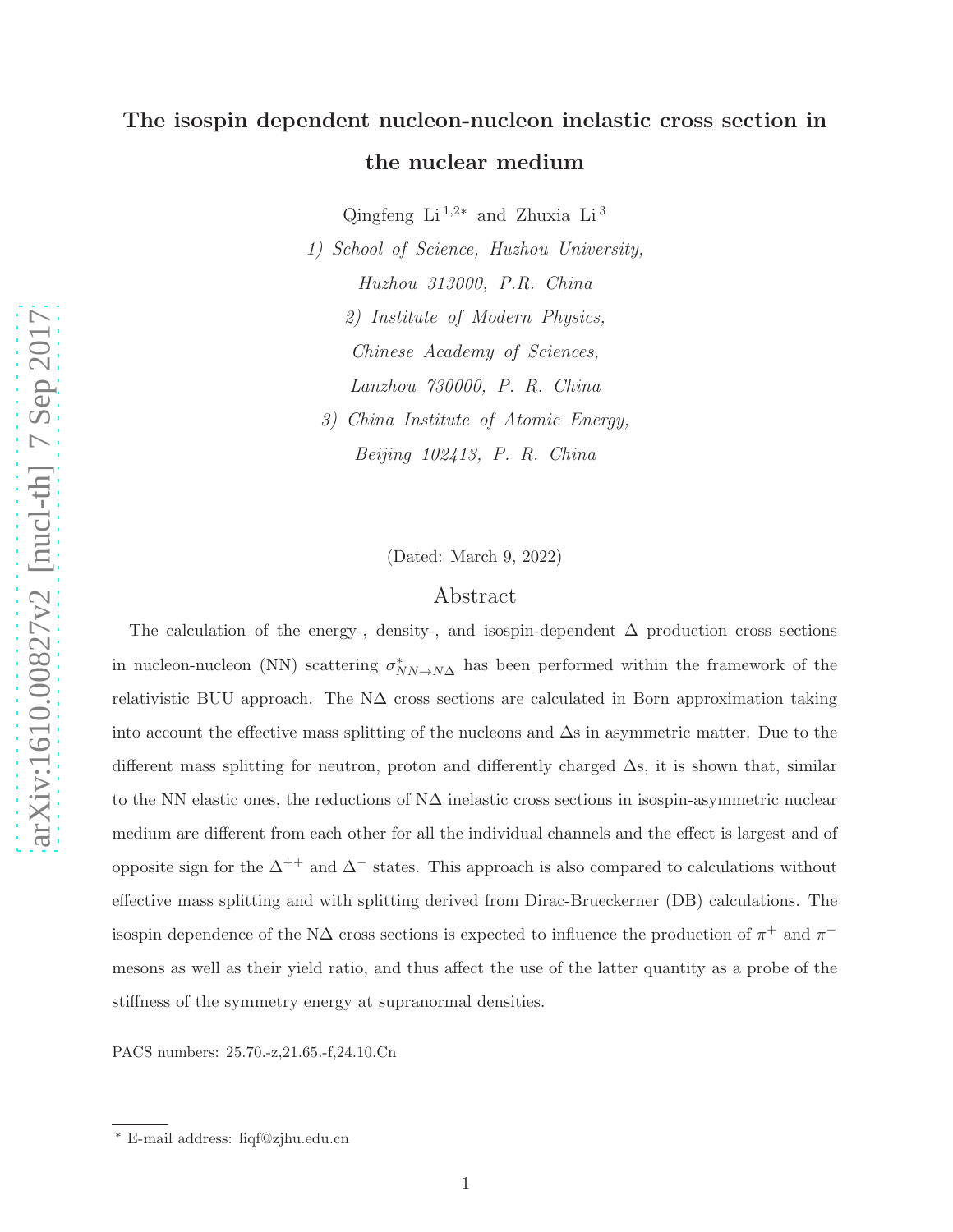# The isospin dependent nucleon-nucleon inelastic cross section in the nuclear medium

Qingfeng Li<sup>1,2\*</sup> and Zhuxia Li<sup>3</sup>

1) School of Science, Huzhou University, Huzhou 313000, P.R. China 2) Institute of Modern Physics, Chinese Academy of Sciences, Lanzhou 730000, P. R. China 3) China Institute of Atomic Energy,

Beijing 102413, P. R. China

(Dated: March 9, 2022)

# Abstract

The calculation of the energy-, density-, and isospin-dependent  $\Delta$  production cross sections in nucleon-nucleon (NN) scattering  $\sigma_N^*$  $N_{N\rightarrow N\Delta}$  has been performed within the framework of the relativistic BUU approach. The  $N\Delta$  cross sections are calculated in Born approximation taking into account the effective mass splitting of the nucleons and ∆s in asymmetric matter. Due to the different mass splitting for neutron, proton and differently charged ∆s, it is shown that, similar to the NN elastic ones, the reductions of  $N\Delta$  inelastic cross sections in isospin-asymmetric nuclear medium are different from each other for all the individual channels and the effect is largest and of opposite sign for the  $\Delta^{++}$  and  $\Delta^-$  states. This approach is also compared to calculations without effective mass splitting and with splitting derived from Dirac-Brueckerner (DB) calculations. The isospin dependence of the N $\Delta$  cross sections is expected to influence the production of  $\pi^+$  and  $\pi^$ mesons as well as their yield ratio, and thus affect the use of the latter quantity as a probe of the stiffness of the symmetry energy at supranormal densities.

PACS numbers: 25.70.-z,21.65.-f,24.10.Cn

<sup>∗</sup> E-mail address: liqf@zjhu.edu.cn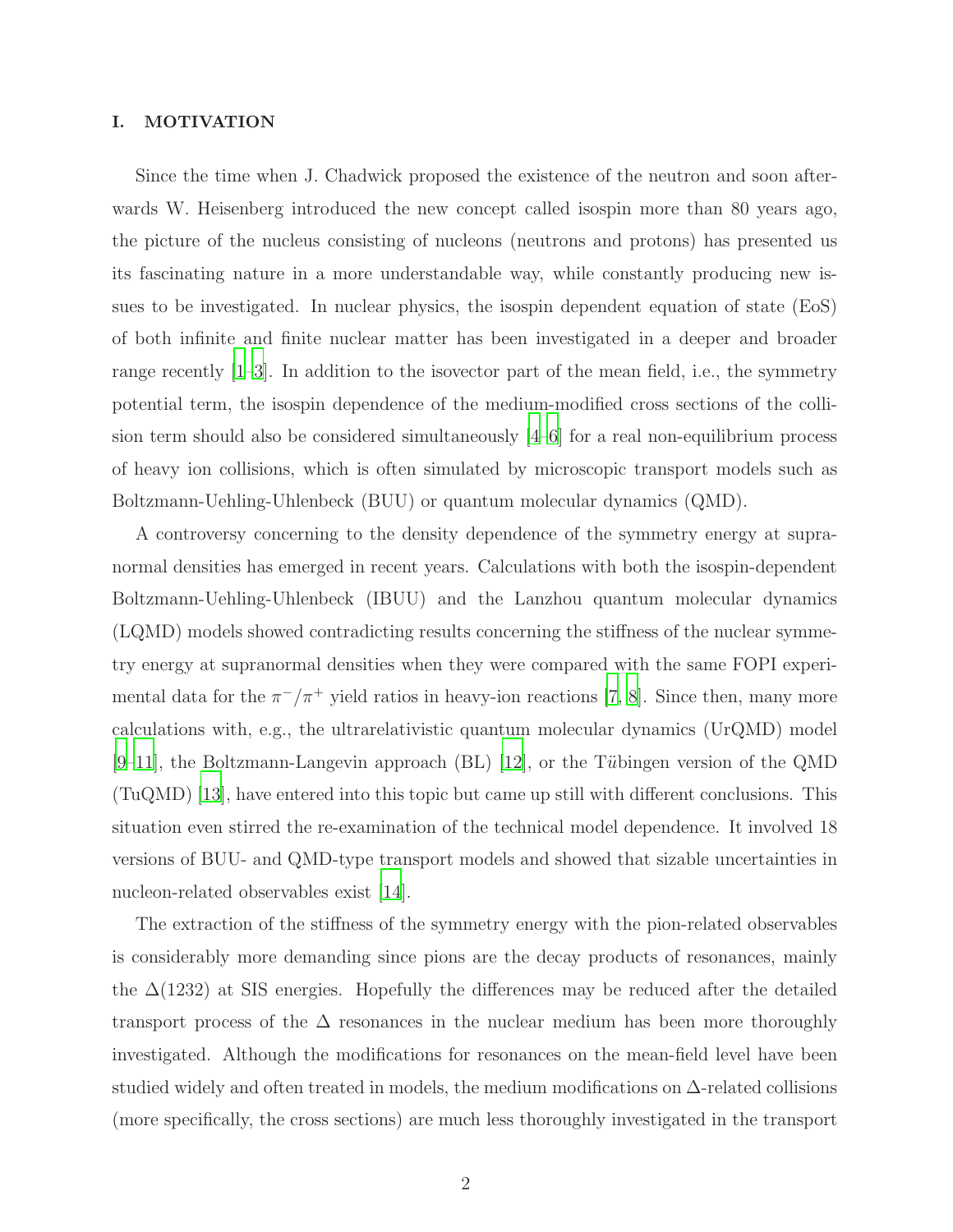### I. MOTIVATION

Since the time when J. Chadwick proposed the existence of the neutron and soon afterwards W. Heisenberg introduced the new concept called isospin more than 80 years ago, the picture of the nucleus consisting of nucleons (neutrons and protons) has presented us its fascinating nature in a more understandable way, while constantly producing new issues to be investigated. In nuclear physics, the isospin dependent equation of state (EoS) of both infinite and finite nuclear matter has been investigated in a deeper and broader range recently  $[1-3]$ . In addition to the isovector part of the mean field, i.e., the symmetry potential term, the isospin dependence of the medium-modified cross sections of the collision term should also be considered simultaneously [\[4](#page-14-2)[–6\]](#page-14-3) for a real non-equilibrium process of heavy ion collisions, which is often simulated by microscopic transport models such as Boltzmann-Uehling-Uhlenbeck (BUU) or quantum molecular dynamics (QMD).

A controversy concerning to the density dependence of the symmetry energy at supranormal densities has emerged in recent years. Calculations with both the isospin-dependent Boltzmann-Uehling-Uhlenbeck (IBUU) and the Lanzhou quantum molecular dynamics (LQMD) models showed contradicting results concerning the stiffness of the nuclear symmetry energy at supranormal densities when they were compared with the same FOPI experimental data for the  $\pi^{-}/\pi^{+}$  yield ratios in heavy-ion reactions [\[7,](#page-14-4) [8\]](#page-14-5). Since then, many more calculations with, e.g., the ultrarelativistic quantum molecular dynamics (UrQMD) model  $[9-11]$  $[9-11]$ , the Boltzmann-Langevin approach  $(BL)$  [\[12\]](#page-14-8), or the Tübingen version of the QMD (TuQMD) [\[13\]](#page-14-9), have entered into this topic but came up still with different conclusions. This situation even stirred the re-examination of the technical model dependence. It involved 18 versions of BUU- and QMD-type transport models and showed that sizable uncertainties in nucleon-related observables exist [\[14\]](#page-14-10).

The extraction of the stiffness of the symmetry energy with the pion-related observables is considerably more demanding since pions are the decay products of resonances, mainly the  $\Delta(1232)$  at SIS energies. Hopefully the differences may be reduced after the detailed transport process of the  $\Delta$  resonances in the nuclear medium has been more thoroughly investigated. Although the modifications for resonances on the mean-field level have been studied widely and often treated in models, the medium modifications on ∆-related collisions (more specifically, the cross sections) are much less thoroughly investigated in the transport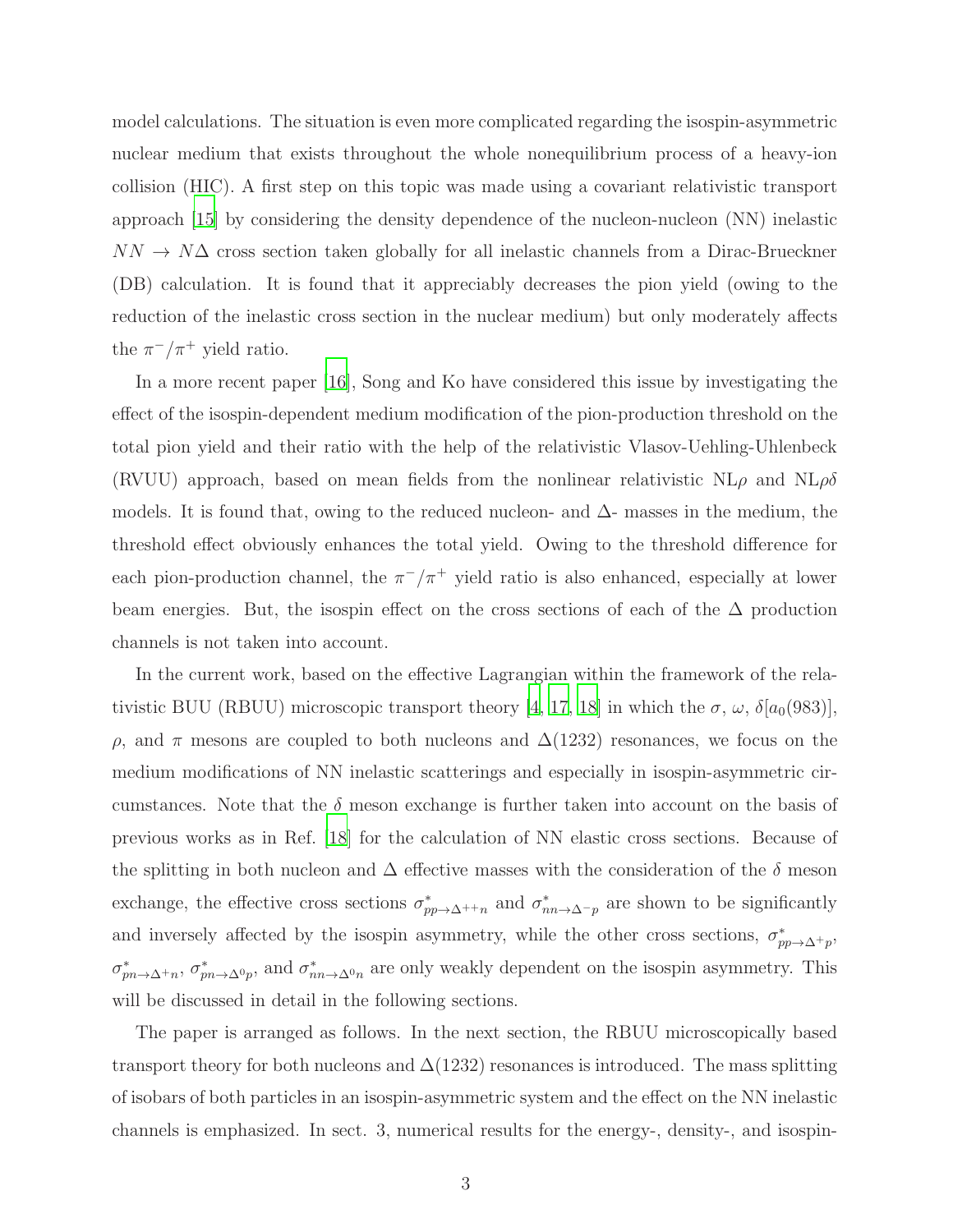model calculations. The situation is even more complicated regarding the isospin-asymmetric nuclear medium that exists throughout the whole nonequilibrium process of a heavy-ion collision (HIC). A first step on this topic was made using a covariant relativistic transport approach [\[15\]](#page-15-0) by considering the density dependence of the nucleon-nucleon (NN) inelastic  $NN \rightarrow N\Delta$  cross section taken globally for all inelastic channels from a Dirac-Brueckner (DB) calculation. It is found that it appreciably decreases the pion yield (owing to the reduction of the inelastic cross section in the nuclear medium) but only moderately affects the  $\pi^{-}/\pi^{+}$  yield ratio.

In a more recent paper [\[16\]](#page-15-1), Song and Ko have considered this issue by investigating the effect of the isospin-dependent medium modification of the pion-production threshold on the total pion yield and their ratio with the help of the relativistic Vlasov-Uehling-Uhlenbeck (RVUU) approach, based on mean fields from the nonlinear relativistic  $NL\rho$  and  $NL\rho\delta$ models. It is found that, owing to the reduced nucleon- and  $\Delta$ - masses in the medium, the threshold effect obviously enhances the total yield. Owing to the threshold difference for each pion-production channel, the  $\pi^{-}/\pi^{+}$  yield ratio is also enhanced, especially at lower beam energies. But, the isospin effect on the cross sections of each of the  $\Delta$  production channels is not taken into account.

In the current work, based on the effective Lagrangian within the framework of the rela-tivistic BUU (RBUU) microscopic transport theory [\[4,](#page-14-2) [17](#page-15-2), [18\]](#page-15-3) in which the  $\sigma$ ,  $\omega$ ,  $\delta[a_0(983)]$ ,  $ρ$ , and π mesons are coupled to both nucleons and  $Δ(1232)$  resonances, we focus on the medium modifications of NN inelastic scatterings and especially in isospin-asymmetric circumstances. Note that the  $\delta$  meson exchange is further taken into account on the basis of previous works as in Ref. [\[18](#page-15-3)] for the calculation of NN elastic cross sections. Because of the splitting in both nucleon and  $\Delta$  effective masses with the consideration of the  $\delta$  meson exchange, the effective cross sections  $\sigma_{pp\to\Delta^{++}n}^*$  and  $\sigma_{nn\to\Delta^{-}p}^*$  are shown to be significantly and inversely affected by the isospin asymmetry, while the other cross sections,  $\sigma_{pp\to\Delta^+p}^*$ ,  $\sigma_{pn\to\Delta^+n}^*$ ,  $\sigma_{pn\to\Delta^0p}^*$ , and  $\sigma_{nn\to\Delta^0n}^*$  are only weakly dependent on the isospin asymmetry. This will be discussed in detail in the following sections.

The paper is arranged as follows. In the next section, the RBUU microscopically based transport theory for both nucleons and  $\Delta(1232)$  resonances is introduced. The mass splitting of isobars of both particles in an isospin-asymmetric system and the effect on the NN inelastic channels is emphasized. In sect. 3, numerical results for the energy-, density-, and isospin-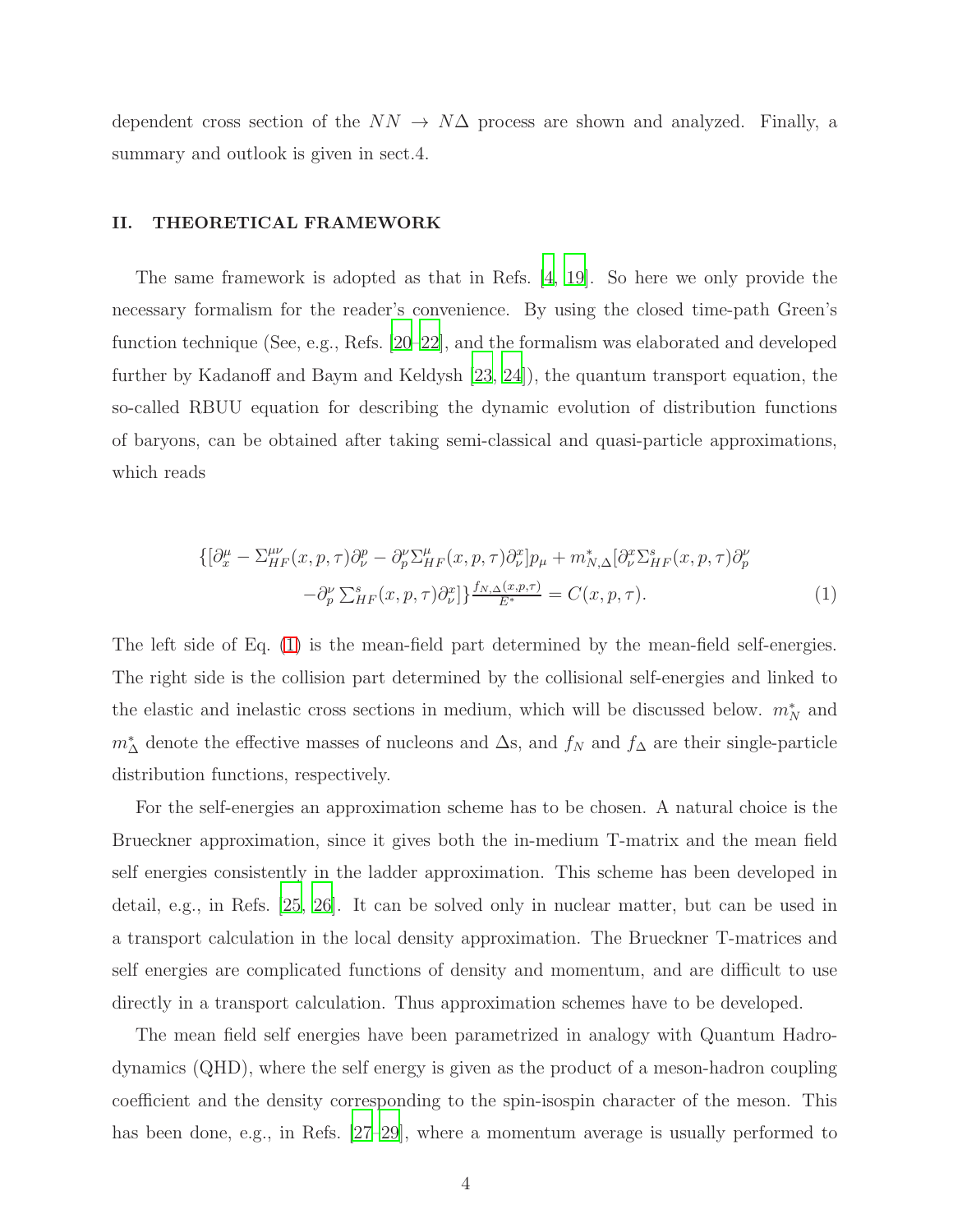dependent cross section of the  $NN \rightarrow N\Delta$  process are shown and analyzed. Finally, a summary and outlook is given in sect. 4.

## II. THEORETICAL FRAMEWORK

The same framework is adopted as that in Refs. [\[4,](#page-14-2) [19\]](#page-15-4). So here we only provide the necessary formalism for the reader's convenience. By using the closed time-path Green's function technique (See, e.g., Refs. [\[20](#page-15-5)[–22](#page-15-6)], and the formalism was elaborated and developed further by Kadanoff and Baym and Keldysh [\[23,](#page-15-7) [24](#page-15-8)]), the quantum transport equation, the so-called RBUU equation for describing the dynamic evolution of distribution functions of baryons, can be obtained after taking semi-classical and quasi-particle approximations, which reads

<span id="page-3-0"></span>
$$
\{[\partial_x^{\mu} - \Sigma_{HF}^{\mu\nu}(x, p, \tau)\partial_{\nu}^p - \partial_{p}^{\nu}\Sigma_{HF}^{\mu}(x, p, \tau)\partial_{\nu}^x]p_{\mu} + m_{N,\Delta}^*[\partial_{\nu}^x\Sigma_{HF}^s(x, p, \tau)\partial_{p}^{\nu} - \partial_{p}^{\nu}\Sigma_{HF}^s(x, p, \tau)\partial_{\nu}^x]\}^{\underline{f_{N,\Delta}(x, p, \tau)}} = C(x, p, \tau).
$$
\n(1)

The left side of Eq. [\(1\)](#page-3-0) is the mean-field part determined by the mean-field self-energies. The right side is the collision part determined by the collisional self-energies and linked to the elastic and inelastic cross sections in medium, which will be discussed below.  $m_N^*$  and  $m^*$ <sup>∆</sup> denote the effective masses of nucleons and  $\Delta$ s, and  $f_N$  and  $f_\Delta$  are their single-particle distribution functions, respectively.

For the self-energies an approximation scheme has to be chosen. A natural choice is the Brueckner approximation, since it gives both the in-medium T-matrix and the mean field self energies consistently in the ladder approximation. This scheme has been developed in detail, e.g., in Refs. [\[25,](#page-15-9) [26](#page-15-10)]. It can be solved only in nuclear matter, but can be used in a transport calculation in the local density approximation. The Brueckner T-matrices and self energies are complicated functions of density and momentum, and are difficult to use directly in a transport calculation. Thus approximation schemes have to be developed.

The mean field self energies have been parametrized in analogy with Quantum Hadrodynamics (QHD), where the self energy is given as the product of a meson-hadron coupling coefficient and the density corresponding to the spin-isospin character of the meson. This has been done, e.g., in Refs. [\[27](#page-15-11)[–29\]](#page-15-12), where a momentum average is usually performed to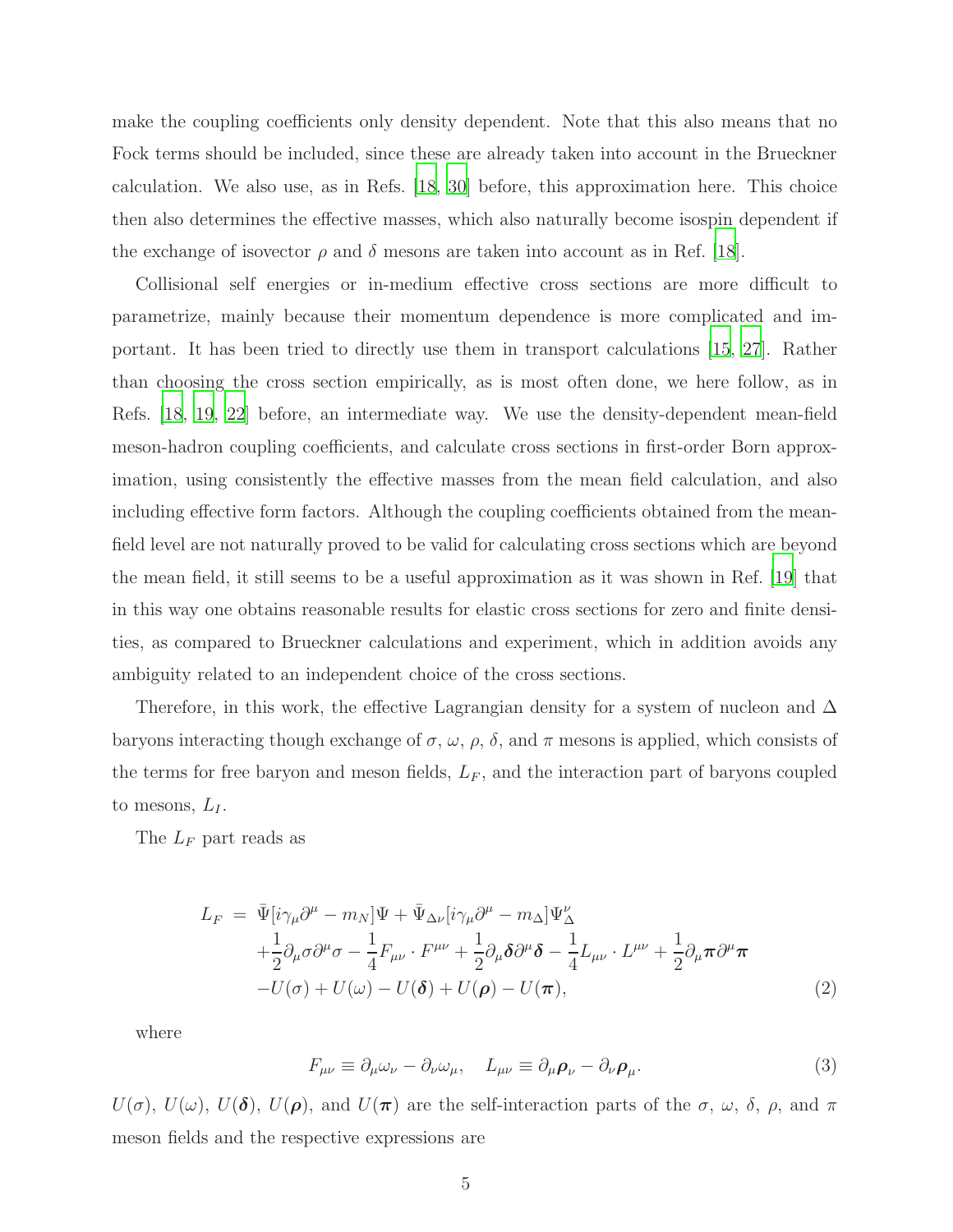make the coupling coefficients only density dependent. Note that this also means that no Fock terms should be included, since these are already taken into account in the Brueckner calculation. We also use, as in Refs. [\[18](#page-15-3), [30\]](#page-15-13) before, this approximation here. This choice then also determines the effective masses, which also naturally become isospin dependent if the exchange of isovector  $\rho$  and  $\delta$  mesons are taken into account as in Ref. [\[18\]](#page-15-3).

Collisional self energies or in-medium effective cross sections are more difficult to parametrize, mainly because their momentum dependence is more complicated and important. It has been tried to directly use them in transport calculations [\[15,](#page-15-0) [27](#page-15-11)]. Rather than choosing the cross section empirically, as is most often done, we here follow, as in Refs. [\[18](#page-15-3), [19](#page-15-4), [22\]](#page-15-6) before, an intermediate way. We use the density-dependent mean-field meson-hadron coupling coefficients, and calculate cross sections in first-order Born approximation, using consistently the effective masses from the mean field calculation, and also including effective form factors. Although the coupling coefficients obtained from the meanfield level are not naturally proved to be valid for calculating cross sections which are beyond the mean field, it still seems to be a useful approximation as it was shown in Ref. [\[19\]](#page-15-4) that in this way one obtains reasonable results for elastic cross sections for zero and finite densities, as compared to Brueckner calculations and experiment, which in addition avoids any ambiguity related to an independent choice of the cross sections.

Therefore, in this work, the effective Lagrangian density for a system of nucleon and  $\Delta$ baryons interacting though exchange of  $\sigma$ ,  $\omega$ ,  $\rho$ ,  $\delta$ , and  $\pi$  mesons is applied, which consists of the terms for free baryon and meson fields,  $L_F$ , and the interaction part of baryons coupled to mesons,  $L_I$ .

The  $L_F$  part reads as

$$
L_F = \bar{\Psi}[i\gamma_\mu \partial^\mu - m_N] \Psi + \bar{\Psi}_{\Delta\nu}[i\gamma_\mu \partial^\mu - m_\Delta] \Psi^\nu_\Delta + \frac{1}{2} \partial_\mu \sigma \partial^\mu \sigma - \frac{1}{4} F_{\mu\nu} \cdot F^{\mu\nu} + \frac{1}{2} \partial_\mu \delta \partial^\mu \delta - \frac{1}{4} L_{\mu\nu} \cdot L^{\mu\nu} + \frac{1}{2} \partial_\mu \pi \partial^\mu \pi - U(\sigma) + U(\omega) - U(\delta) + U(\rho) - U(\pi),
$$
\n(2)

where

$$
F_{\mu\nu} \equiv \partial_{\mu}\omega_{\nu} - \partial_{\nu}\omega_{\mu}, \quad L_{\mu\nu} \equiv \partial_{\mu}\rho_{\nu} - \partial_{\nu}\rho_{\mu}.
$$
 (3)

 $U(\sigma)$ ,  $U(\omega)$ ,  $U(\delta)$ ,  $U(\rho)$ , and  $U(\pi)$  are the self-interaction parts of the  $\sigma$ ,  $\omega$ ,  $\delta$ ,  $\rho$ , and  $\pi$ meson fields and the respective expressions are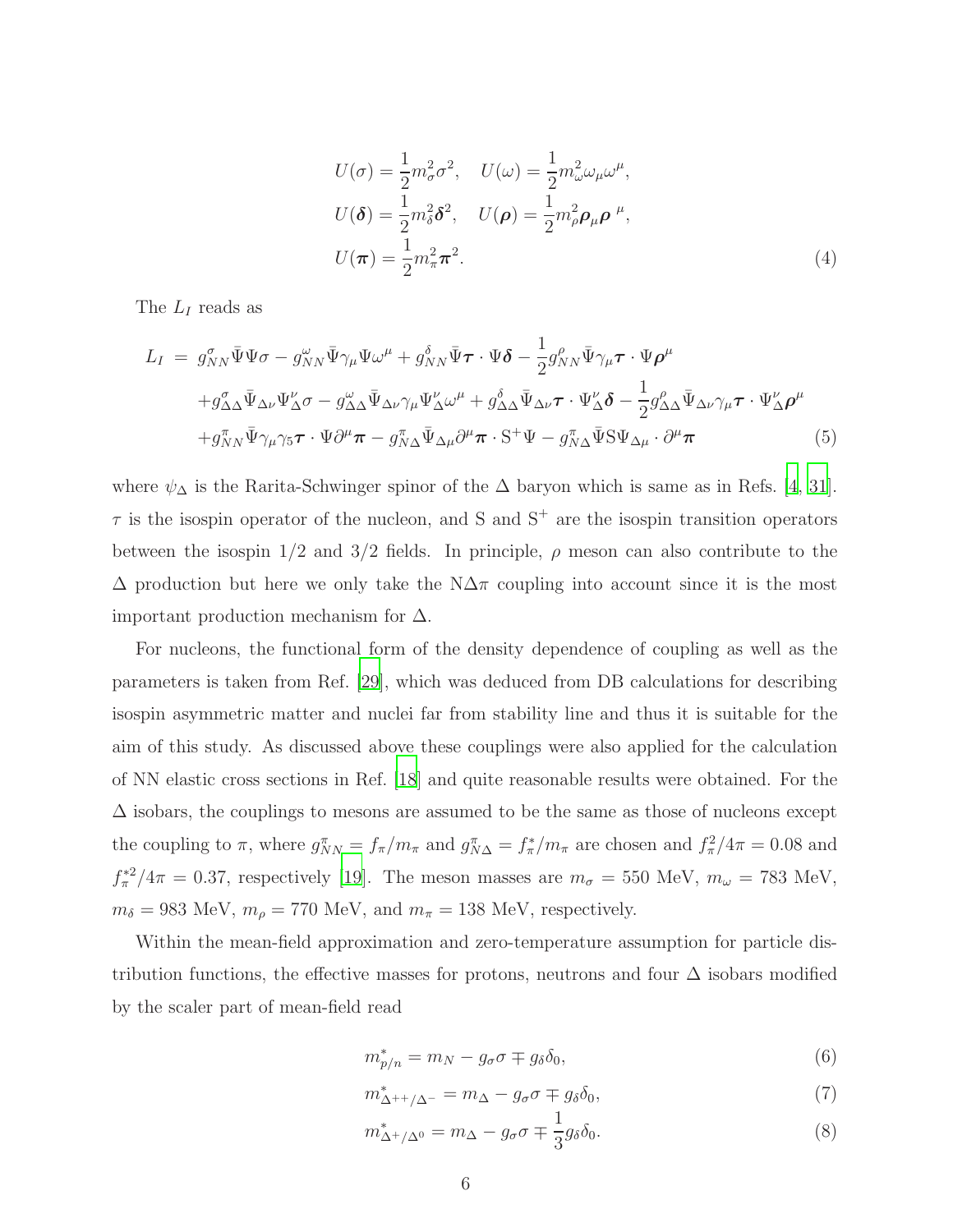$$
U(\sigma) = \frac{1}{2}m_{\sigma}^{2}\sigma^{2}, \quad U(\omega) = \frac{1}{2}m_{\omega}^{2}\omega_{\mu}\omega^{\mu},
$$
  
\n
$$
U(\delta) = \frac{1}{2}m_{\delta}^{2}\delta^{2}, \quad U(\rho) = \frac{1}{2}m_{\rho}^{2}\rho_{\mu}\rho^{\mu},
$$
  
\n
$$
U(\pi) = \frac{1}{2}m_{\pi}^{2}\pi^{2}.
$$
\n(4)

The  $L_I$  reads as

$$
L_{I} = g_{NN}^{\sigma} \bar{\Psi} \Psi \sigma - g_{NN}^{\omega} \bar{\Psi} \gamma_{\mu} \Psi \omega^{\mu} + g_{NN}^{\delta} \bar{\Psi} \tau \cdot \Psi \delta - \frac{1}{2} g_{NN}^{\rho} \bar{\Psi} \gamma_{\mu} \tau \cdot \Psi \rho^{\mu} + g_{\Delta \Delta}^{\sigma} \bar{\Psi}_{\Delta \nu} \Psi_{\Delta}^{\nu} \sigma - g_{\Delta \Delta}^{\omega} \bar{\Psi}_{\Delta \nu} \gamma_{\mu} \Psi_{\Delta}^{\nu} \omega^{\mu} + g_{\Delta \Delta}^{\delta} \bar{\Psi}_{\Delta \nu} \tau \cdot \Psi_{\Delta}^{\nu} \delta - \frac{1}{2} g_{\Delta \Delta}^{\rho} \bar{\Psi}_{\Delta \nu} \gamma_{\mu} \tau \cdot \Psi_{\Delta}^{\nu} \rho^{\mu} + g_{NN}^{\pi} \bar{\Psi} \gamma_{\mu} \gamma_{5} \tau \cdot \Psi \partial^{\mu} \pi - g_{NN}^{\pi} \bar{\Psi}_{\Delta \mu} \partial^{\mu} \pi \cdot S^{+} \Psi - g_{NN}^{\pi} \bar{\Psi} S \Psi_{\Delta \mu} \cdot \partial^{\mu} \pi
$$
 (5)

where  $\psi_{\Delta}$  is the Rarita-Schwinger spinor of the  $\Delta$  baryon which is same as in Refs. [\[4,](#page-14-2) [31\]](#page-15-14).  $\tau$  is the isospin operator of the nucleon, and S and S<sup>+</sup> are the isospin transition operators between the isospin  $1/2$  and  $3/2$  fields. In principle,  $\rho$  meson can also contribute to the  $\Delta$  production but here we only take the N $\Delta\pi$  coupling into account since it is the most important production mechanism for  $\Delta$ .

For nucleons, the functional form of the density dependence of coupling as well as the parameters is taken from Ref. [\[29\]](#page-15-12), which was deduced from DB calculations for describing isospin asymmetric matter and nuclei far from stability line and thus it is suitable for the aim of this study. As discussed above these couplings were also applied for the calculation of NN elastic cross sections in Ref. [\[18\]](#page-15-3) and quite reasonable results were obtained. For the  $\Delta$  isobars, the couplings to mesons are assumed to be the same as those of nucleons except the coupling to  $\pi$ , where  $g_{NN}^{\pi} = f_{\pi}/m_{\pi}$  and  $g_{N\Delta}^{\pi} = f_{\pi}^*/m_{\pi}$  are chosen and  $f_{\pi}^2/4\pi = 0.08$  and  $f_{\pi}^{*2}/4\pi = 0.37$ , respectively [\[19\]](#page-15-4). The meson masses are  $m_{\sigma} = 550$  MeV,  $m_{\omega} = 783$  MeV,  $m_\delta=983$  MeV,  $m_\rho=770$  MeV, and  $m_\pi=138$  MeV, respectively.

Within the mean-field approximation and zero-temperature assumption for particle distribution functions, the effective masses for protons, neutrons and four  $\Delta$  isobars modified by the scaler part of mean-field read

<span id="page-5-0"></span>
$$
m_{p/n}^* = m_N - g_\sigma \sigma \mp g_\delta \delta_0,\tag{6}
$$

$$
m_{\Delta^{++}/\Delta^-}^* = m_\Delta - g_\sigma \sigma \mp g_\delta \delta_0,\tag{7}
$$

$$
m_{\Delta^+/\Delta^0}^* = m_\Delta - g_\sigma \sigma \mp \frac{1}{3} g_\delta \delta_0. \tag{8}
$$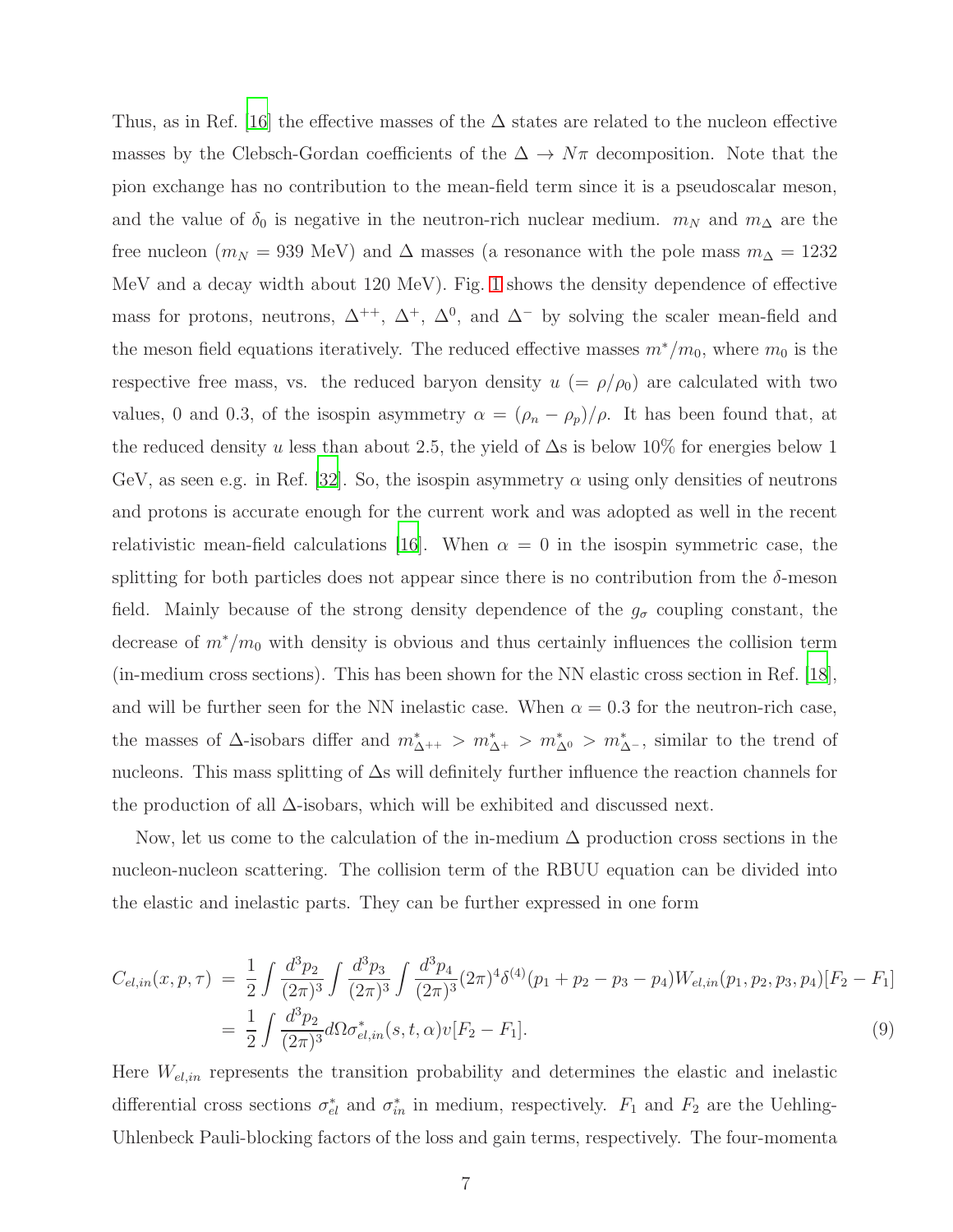Thus, as in Ref. [\[16\]](#page-15-1) the effective masses of the  $\Delta$  states are related to the nucleon effective masses by the Clebsch-Gordan coefficients of the  $\Delta \to N\pi$  decomposition. Note that the pion exchange has no contribution to the mean-field term since it is a pseudoscalar meson, and the value of  $\delta_0$  is negative in the neutron-rich nuclear medium.  $m_N$  and  $m_\Delta$  are the free nucleon ( $m_N = 939$  MeV) and  $\Delta$  masses (a resonance with the pole mass  $m_\Delta = 1232$ MeV and a decay width about 120 MeV). Fig. [1](#page-7-0) shows the density dependence of effective mass for protons, neutrons,  $\Delta^{++}$ ,  $\Delta^+$ ,  $\Delta^0$ , and  $\Delta^-$  by solving the scaler mean-field and the meson field equations iteratively. The reduced effective masses  $m^*/m_0$ , where  $m_0$  is the respective free mass, vs. the reduced baryon density  $u = \rho/\rho_0$  are calculated with two values, 0 and 0.3, of the isospin asymmetry  $\alpha = (\rho_n - \rho_p)/\rho$ . It has been found that, at the reduced density u less than about 2.5, the yield of  $\Delta s$  is below 10% for energies below 1 GeV, as seen e.g. in Ref. [\[32\]](#page-15-15). So, the isospin asymmetry  $\alpha$  using only densities of neutrons and protons is accurate enough for the current work and was adopted as well in the recent relativistic mean-field calculations [\[16\]](#page-15-1). When  $\alpha = 0$  in the isospin symmetric case, the splitting for both particles does not appear since there is no contribution from the  $\delta$ -meson field. Mainly because of the strong density dependence of the  $g_{\sigma}$  coupling constant, the decrease of  $m^*/m_0$  with density is obvious and thus certainly influences the collision term (in-medium cross sections). This has been shown for the NN elastic cross section in Ref. [\[18\]](#page-15-3), and will be further seen for the NN inelastic case. When  $\alpha = 0.3$  for the neutron-rich case, the masses of  $\Delta$ -isobars differ and  $m_{\Delta^{++}}^* > m_{\Delta^+}^* > m_{\Delta^0}^* > m_{\Delta^-}^*$ , similar to the trend of nucleons. This mass splitting of ∆s will definitely further influence the reaction channels for the production of all ∆-isobars, which will be exhibited and discussed next.

Now, let us come to the calculation of the in-medium  $\Delta$  production cross sections in the nucleon-nucleon scattering. The collision term of the RBUU equation can be divided into the elastic and inelastic parts. They can be further expressed in one form

$$
C_{el,in}(x, p, \tau) = \frac{1}{2} \int \frac{d^3 p_2}{(2\pi)^3} \int \frac{d^3 p_3}{(2\pi)^3} \int \frac{d^3 p_4}{(2\pi)^3} (2\pi)^4 \delta^{(4)}(p_1 + p_2 - p_3 - p_4) W_{el,in}(p_1, p_2, p_3, p_4) [F_2 - F_1]
$$
  
= 
$$
\frac{1}{2} \int \frac{d^3 p_2}{(2\pi)^3} d\Omega \sigma_{el,in}^*(s, t, \alpha) v [F_2 - F_1].
$$
 (9)

Here  $W_{el,in}$  represents the transition probability and determines the elastic and inelastic differential cross sections  $\sigma_{el}^*$  and  $\sigma_{in}^*$  in medium, respectively.  $F_1$  and  $F_2$  are the Uehling-Uhlenbeck Pauli-blocking factors of the loss and gain terms, respectively. The four-momenta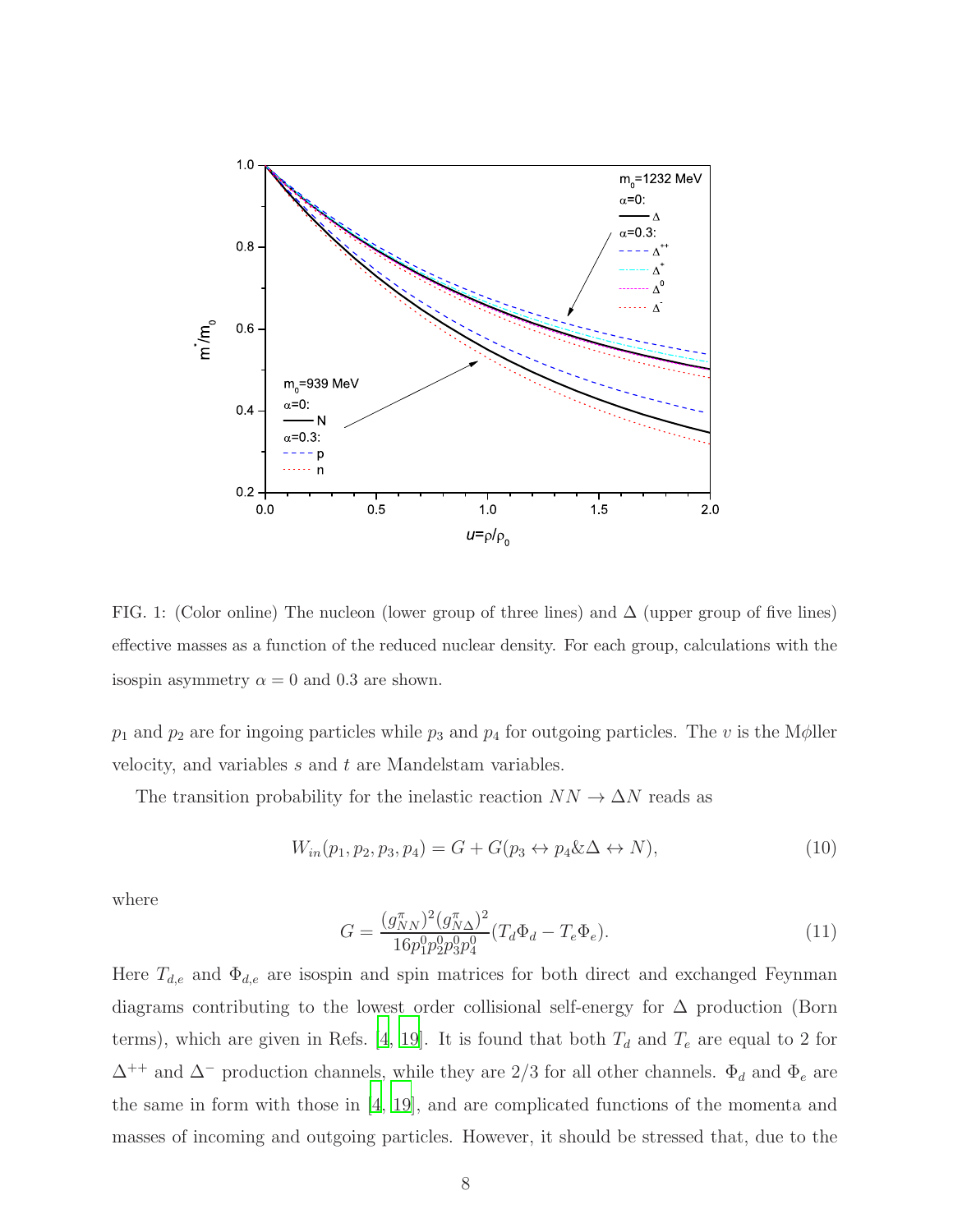

<span id="page-7-0"></span>FIG. 1: (Color online) The nucleon (lower group of three lines) and  $\Delta$  (upper group of five lines) effective masses as a function of the reduced nuclear density. For each group, calculations with the isospin asymmetry  $\alpha = 0$  and 0.3 are shown.

 $p_1$  and  $p_2$  are for ingoing particles while  $p_3$  and  $p_4$  for outgoing particles. The v is the M $\phi$ ller velocity, and variables s and t are Mandelstam variables.

The transition probability for the inelastic reaction  $NN \to \Delta N$  reads as

$$
W_{in}(p_1, p_2, p_3, p_4) = G + G(p_3 \leftrightarrow p_4 \&\Delta \leftrightarrow N),\tag{10}
$$

where

<span id="page-7-1"></span>
$$
G = \frac{(g_{NN}^{\pi})^2 (g_{N\Delta}^{\pi})^2}{16p_1^0 p_2^0 p_3^0 p_4^0} (T_d \Phi_d - T_e \Phi_e).
$$
 (11)

Here  $T_{d,e}$  and  $\Phi_{d,e}$  are isospin and spin matrices for both direct and exchanged Feynman diagrams contributing to the lowest order collisional self-energy for ∆ production (Born terms), which are given in Refs. [\[4,](#page-14-2) [19](#page-15-4)]. It is found that both  $T_d$  and  $T_e$  are equal to 2 for  $\Delta^{++}$  and  $\Delta^{-}$  production channels, while they are 2/3 for all other channels.  $\Phi_d$  and  $\Phi_e$  are the same in form with those in [\[4](#page-14-2), [19](#page-15-4)], and are complicated functions of the momenta and masses of incoming and outgoing particles. However, it should be stressed that, due to the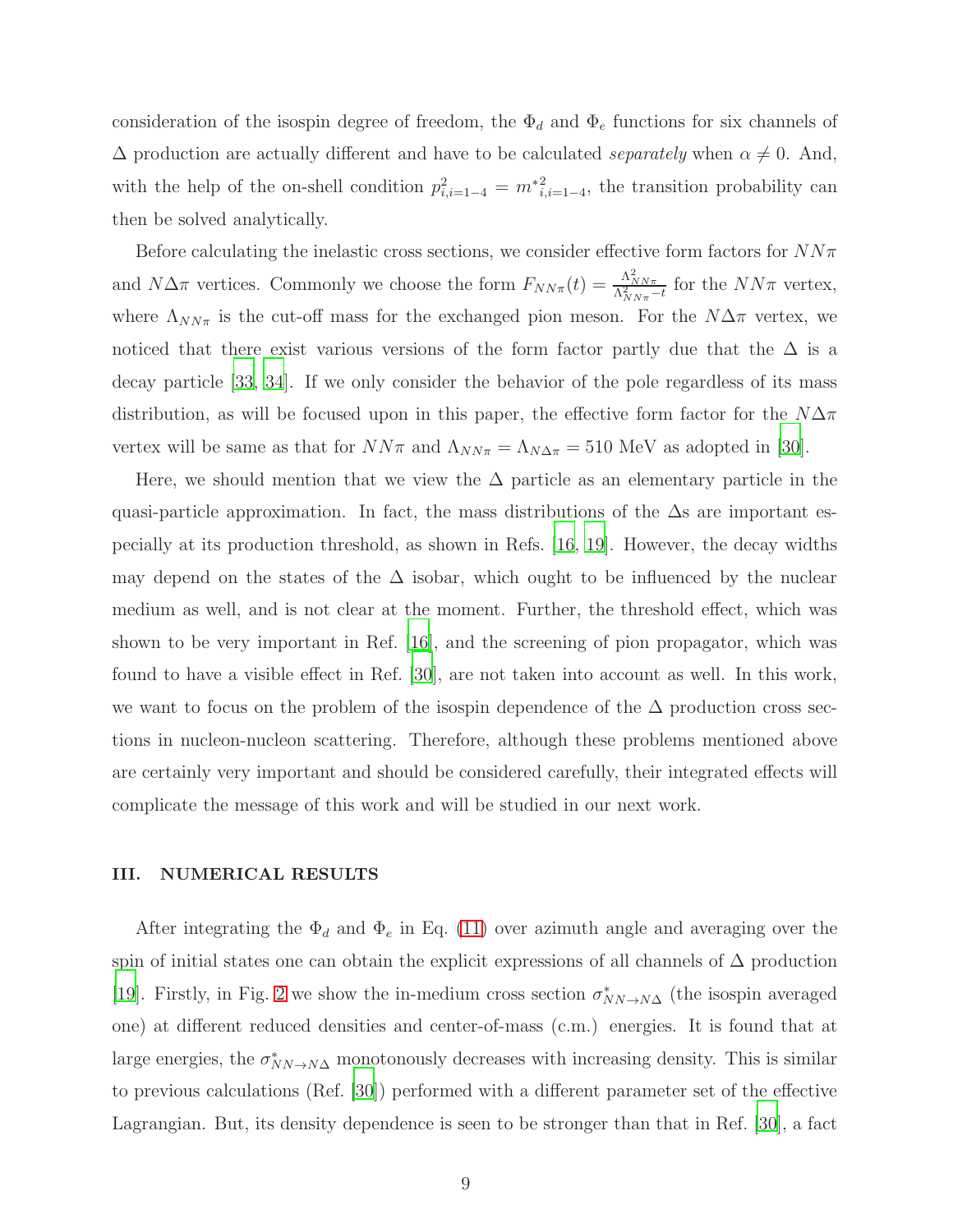consideration of the isospin degree of freedom, the  $\Phi_d$  and  $\Phi_e$  functions for six channels of  $\Delta$  production are actually different and have to be calculated separately when  $\alpha \neq 0$ . And, with the help of the on-shell condition  $p_{i,i=1-4}^2 = m_{i,i=1-4}^2$ , the transition probability can then be solved analytically.

Before calculating the inelastic cross sections, we consider effective form factors for  $NN\pi$ and  $N\Delta\pi$  vertices. Commonly we choose the form  $F_{NN\pi}(t) = \frac{\Lambda_{NN\pi}^2}{\Lambda_{NN\pi}^2 - t}$  for the  $NN\pi$  vertex, where  $\Lambda_{NN\pi}$  is the cut-off mass for the exchanged pion meson. For the  $N\Delta\pi$  vertex, we noticed that there exist various versions of the form factor partly due that the  $\Delta$  is a decay particle [\[33,](#page-15-16) [34](#page-15-17)]. If we only consider the behavior of the pole regardless of its mass distribution, as will be focused upon in this paper, the effective form factor for the  $N\Delta\pi$ vertex will be same as that for  $NN\pi$  and  $\Lambda_{NN\pi} = \Lambda_{N\Delta\pi} = 510$  MeV as adopted in [\[30](#page-15-13)].

Here, we should mention that we view the  $\Delta$  particle as an elementary particle in the quasi-particle approximation. In fact, the mass distributions of the  $\Delta s$  are important especially at its production threshold, as shown in Refs. [\[16](#page-15-1), [19](#page-15-4)]. However, the decay widths may depend on the states of the  $\Delta$  isobar, which ought to be influenced by the nuclear medium as well, and is not clear at the moment. Further, the threshold effect, which was shown to be very important in Ref. [\[16](#page-15-1)], and the screening of pion propagator, which was found to have a visible effect in Ref. [\[30\]](#page-15-13), are not taken into account as well. In this work, we want to focus on the problem of the isospin dependence of the  $\Delta$  production cross sections in nucleon-nucleon scattering. Therefore, although these problems mentioned above are certainly very important and should be considered carefully, their integrated effects will complicate the message of this work and will be studied in our next work.

#### III. NUMERICAL RESULTS

After integrating the  $\Phi_d$  and  $\Phi_e$  in Eq. [\(11\)](#page-7-1) over azimuth angle and averaging over the spin of initial states one can obtain the explicit expressions of all channels of  $\Delta$  production [\[19\]](#page-15-4). Firstly, in Fig. [2](#page-9-0) we show the in-medium cross section  $\sigma_{NN\to N\Delta}^*$  (the isospin averaged one) at different reduced densities and center-of-mass (c.m.) energies. It is found that at large energies, the  $\sigma_{NN\to N\Delta}^{*}$  monotonously decreases with increasing density. This is similar to previous calculations (Ref. [\[30](#page-15-13)]) performed with a different parameter set of the effective Lagrangian. But, its density dependence is seen to be stronger than that in Ref. [\[30](#page-15-13)], a fact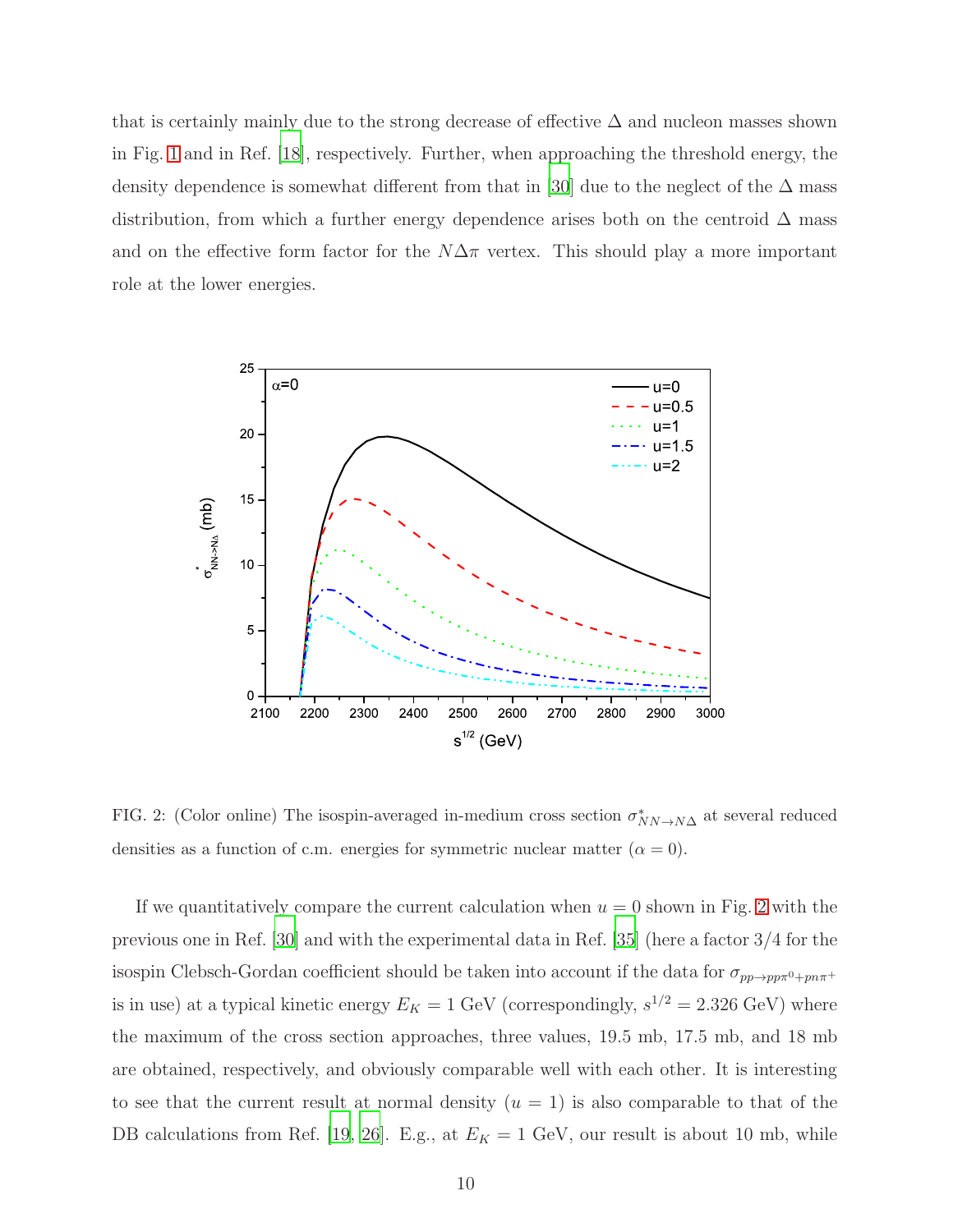that is certainly mainly due to the strong decrease of effective  $\Delta$  and nucleon masses shown in Fig. [1](#page-7-0) and in Ref. [\[18](#page-15-3)], respectively. Further, when approaching the threshold energy, the density dependence is somewhat different from that in [\[30](#page-15-13)] due to the neglect of the  $\Delta$  mass distribution, from which a further energy dependence arises both on the centroid  $\Delta$  mass and on the effective form factor for the  $N\Delta\pi$  vertex. This should play a more important role at the lower energies.



<span id="page-9-0"></span>FIG. 2: (Color online) The isospin-averaged in-medium cross section  $\sigma_{NN\to N\Delta}^*$  at several reduced densities as a function of c.m. energies for symmetric nuclear matter  $(\alpha = 0)$ .

If we quantitatively compare the current calculation when  $u = 0$  shown in Fig. [2](#page-9-0) with the previous one in Ref. [\[30](#page-15-13)] and with the experimental data in Ref. [\[35](#page-16-0)] (here a factor 3/4 for the isospin Clebsch-Gordan coefficient should be taken into account if the data for  $\sigma_{pp\to pp\pi^0+pn\pi^+}$ is in use) at a typical kinetic energy  $E_K = 1$  GeV (correspondingly,  $s^{1/2} = 2.326$  GeV) where the maximum of the cross section approaches, three values, 19.5 mb, 17.5 mb, and 18 mb are obtained, respectively, and obviously comparable well with each other. It is interesting to see that the current result at normal density  $(u = 1)$  is also comparable to that of the DB calculations from Ref. [\[19,](#page-15-4) [26](#page-15-10)]. E.g., at  $E_K = 1$  GeV, our result is about 10 mb, while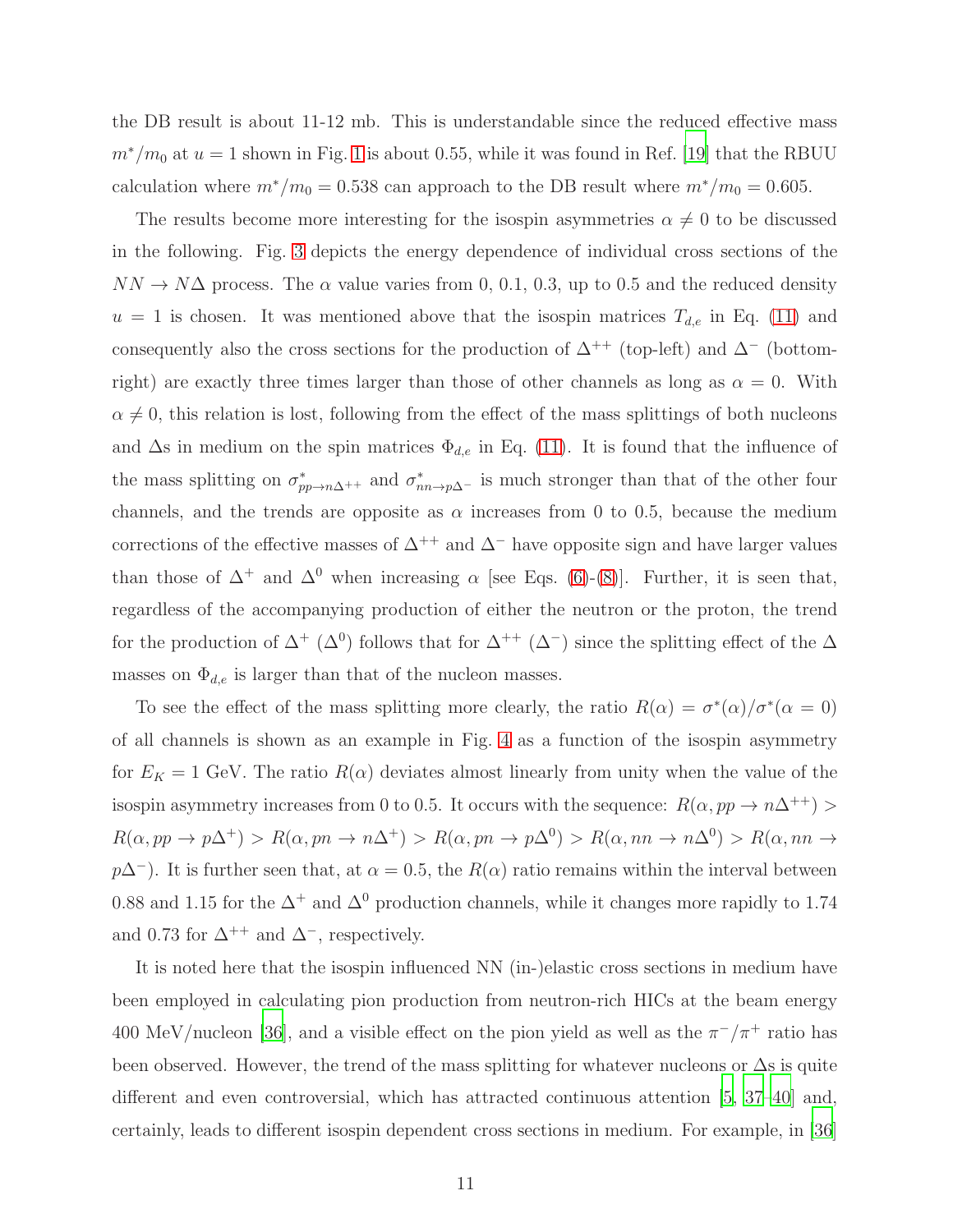the DB result is about 11-12 mb. This is understandable since the reduced effective mass  $m^*/m_0$  at  $u = 1$  $u = 1$  shown in Fig. 1 is about 0.55, while it was found in Ref. [\[19](#page-15-4)] that the RBUU calculation where  $m^*/m_0 = 0.538$  can approach to the DB result where  $m^*/m_0 = 0.605$ .

The results become more interesting for the isospin asymmetries  $\alpha \neq 0$  to be discussed in the following. Fig. [3](#page-11-0) depicts the energy dependence of individual cross sections of the  $NN \rightarrow N\Delta$  process. The  $\alpha$  value varies from 0, 0.1, 0.3, up to 0.5 and the reduced density  $u = 1$  is chosen. It was mentioned above that the isospin matrices  $T_{d,e}$  in Eq. [\(11\)](#page-7-1) and consequently also the cross sections for the production of  $\Delta^{++}$  (top-left) and  $\Delta^{-}$  (bottomright) are exactly three times larger than those of other channels as long as  $\alpha = 0$ . With  $\alpha \neq 0$ , this relation is lost, following from the effect of the mass splittings of both nucleons and  $\Delta$ s in medium on the spin matrices  $\Phi_{d,e}$  in Eq. [\(11\)](#page-7-1). It is found that the influence of the mass splitting on  $\sigma^*_{pp\to n\Delta^{++}}$  and  $\sigma^*_{nn\to p\Delta^{-}}$  is much stronger than that of the other four channels, and the trends are opposite as  $\alpha$  increases from 0 to 0.5, because the medium corrections of the effective masses of  $\Delta^{++}$  and  $\Delta^-$  have opposite sign and have larger values than those of  $\Delta^+$  and  $\Delta^0$  when increasing  $\alpha$  [see Eqs. [\(6\)](#page-5-0)-[\(8\)](#page-5-0)]. Further, it is seen that, regardless of the accompanying production of either the neutron or the proton, the trend for the production of  $\Delta^+$  ( $\Delta^0$ ) follows that for  $\Delta^{++}$  ( $\Delta^-$ ) since the splitting effect of the  $\Delta$ masses on  $\Phi_{d,e}$  is larger than that of the nucleon masses.

To see the effect of the mass splitting more clearly, the ratio  $R(\alpha) = \sigma^*(\alpha)/\sigma^*(\alpha = 0)$ of all channels is shown as an example in Fig. [4](#page-12-0) as a function of the isospin asymmetry for  $E_K = 1$  GeV. The ratio  $R(\alpha)$  deviates almost linearly from unity when the value of the isospin asymmetry increases from 0 to 0.5. It occurs with the sequence:  $R(\alpha, pp \to n\Delta^{++})$  $R(\alpha, pp \to p\Delta^+) > R(\alpha, pn \to n\Delta^+) > R(\alpha, pn \to p\Delta^0) > R(\alpha, nn \to n\Delta^0) > R(\alpha, nn \to n\Delta^+) > R(\alpha, pn \to n\Delta^+) > R(\alpha, pn \to n\Delta^+) > R(\alpha, pn \to n\Delta^+) > R(\alpha, pn \to n\Delta^+) > R(\alpha, pn \to n\Delta^+) > R(\alpha, pn \to n\Delta^+) > R(\alpha, pn \to n\Delta^+) > R(\alpha, pn \to n\Delta^+) > R(\alpha, pn \to n\Delta^+) > R(\alpha, pn \to n\Delta^+) > R(\alpha, pn \to n\Delta^+) > R(\alpha, pn \to n\Delta$  $p\Delta^-$ ). It is further seen that, at  $\alpha = 0.5$ , the  $R(\alpha)$  ratio remains within the interval between 0.88 and 1.15 for the  $\Delta^+$  and  $\Delta^0$  production channels, while it changes more rapidly to 1.74 and 0.73 for  $\Delta^{++}$  and  $\Delta^{-}$ , respectively.

It is noted here that the isospin influenced NN (in-)elastic cross sections in medium have been employed in calculating pion production from neutron-rich HICs at the beam energy 400 MeV/nucleon [\[36\]](#page-16-1), and a visible effect on the pion yield as well as the  $\pi^{-}/\pi^{+}$  ratio has been observed. However, the trend of the mass splitting for whatever nucleons or ∆s is quite different and even controversial, which has attracted continuous attention [\[5,](#page-14-11) [37](#page-16-2)[–40](#page-16-3)] and, certainly, leads to different isospin dependent cross sections in medium. For example, in [\[36\]](#page-16-1)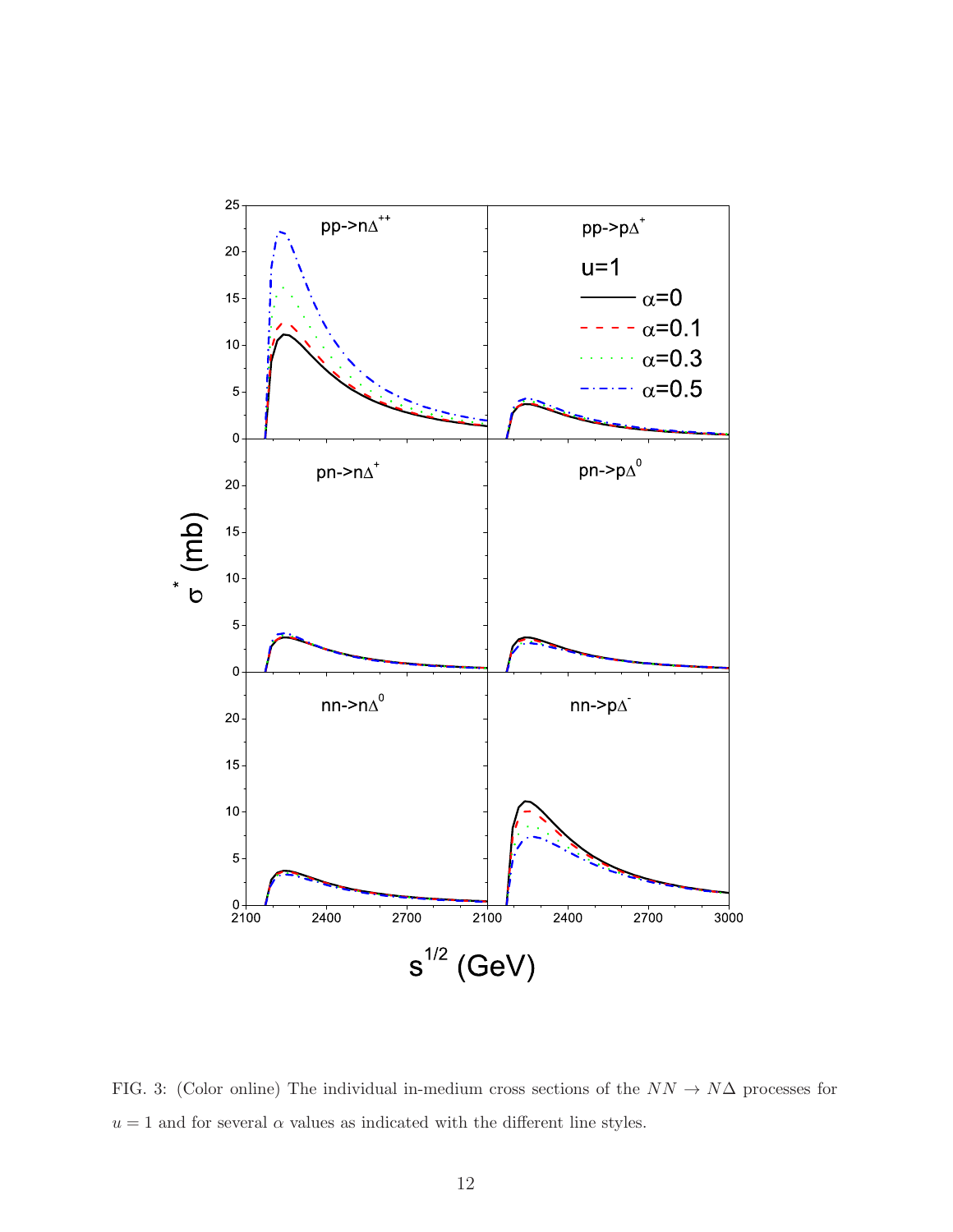

<span id="page-11-0"></span>FIG. 3: (Color online) The individual in-medium cross sections of the  $NN \rightarrow N\Delta$  processes for  $u = 1$  and for several  $\alpha$  values as indicated with the different line styles.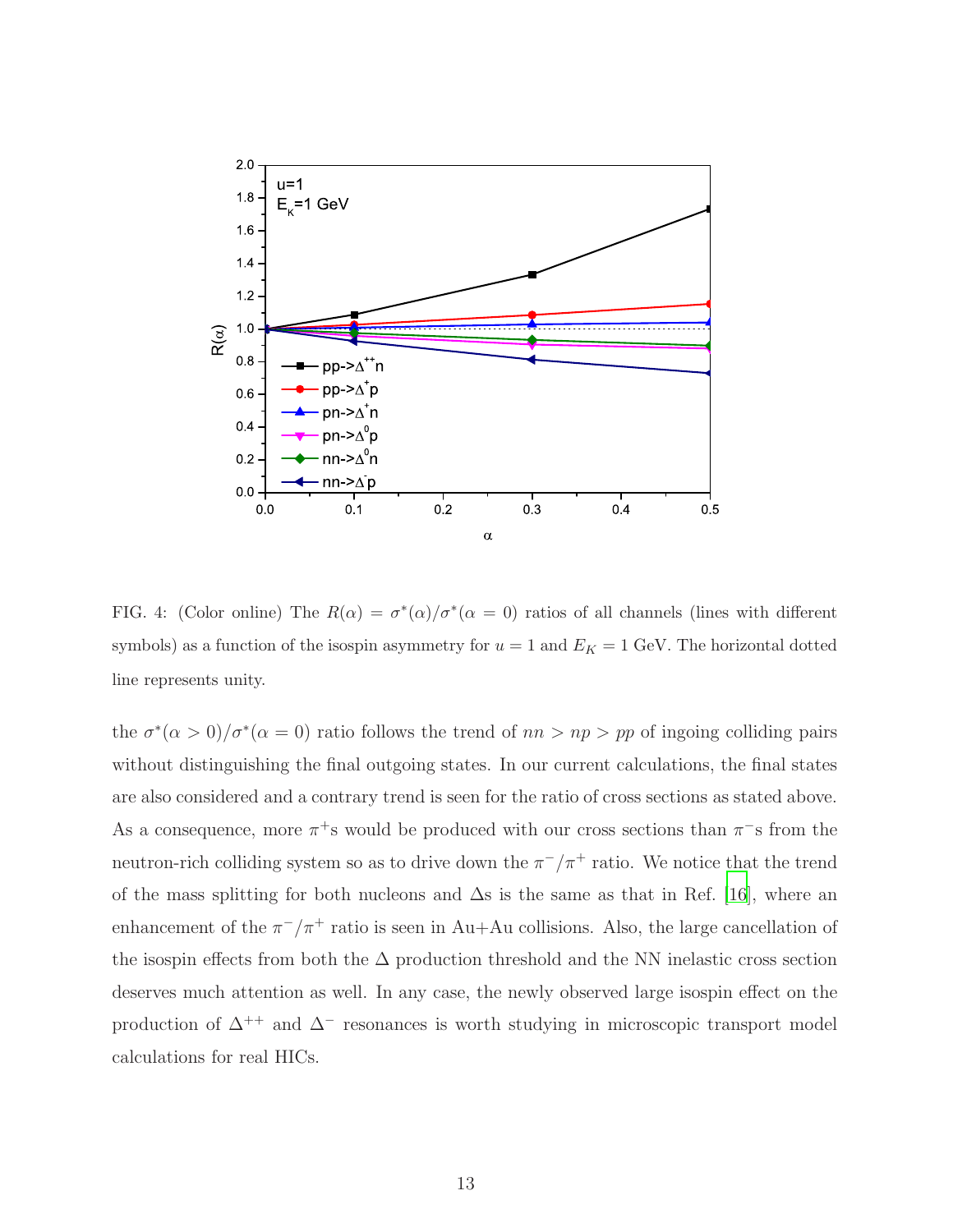

<span id="page-12-0"></span>FIG. 4: (Color online) The  $R(\alpha) = \sigma^*(\alpha)/\sigma^*(\alpha = 0)$  ratios of all channels (lines with different symbols) as a function of the isospin asymmetry for  $u = 1$  and  $E_K = 1$  GeV. The horizontal dotted line represents unity.

the  $\sigma^*(\alpha > 0)/\sigma^*(\alpha = 0)$  ratio follows the trend of  $nn > np > pp$  of ingoing colliding pairs without distinguishing the final outgoing states. In our current calculations, the final states are also considered and a contrary trend is seen for the ratio of cross sections as stated above. As a consequence, more  $\pi^+$ s would be produced with our cross sections than  $\pi^-$ s from the neutron-rich colliding system so as to drive down the  $\pi^{-}/\pi^{+}$  ratio. We notice that the trend of the mass splitting for both nucleons and  $\Delta s$  is the same as that in Ref. [\[16](#page-15-1)], where an enhancement of the  $\pi^{-}/\pi^{+}$  ratio is seen in Au+Au collisions. Also, the large cancellation of the isospin effects from both the  $\Delta$  production threshold and the NN inelastic cross section deserves much attention as well. In any case, the newly observed large isospin effect on the production of  $\Delta^{++}$  and  $\Delta^-$  resonances is worth studying in microscopic transport model calculations for real HICs.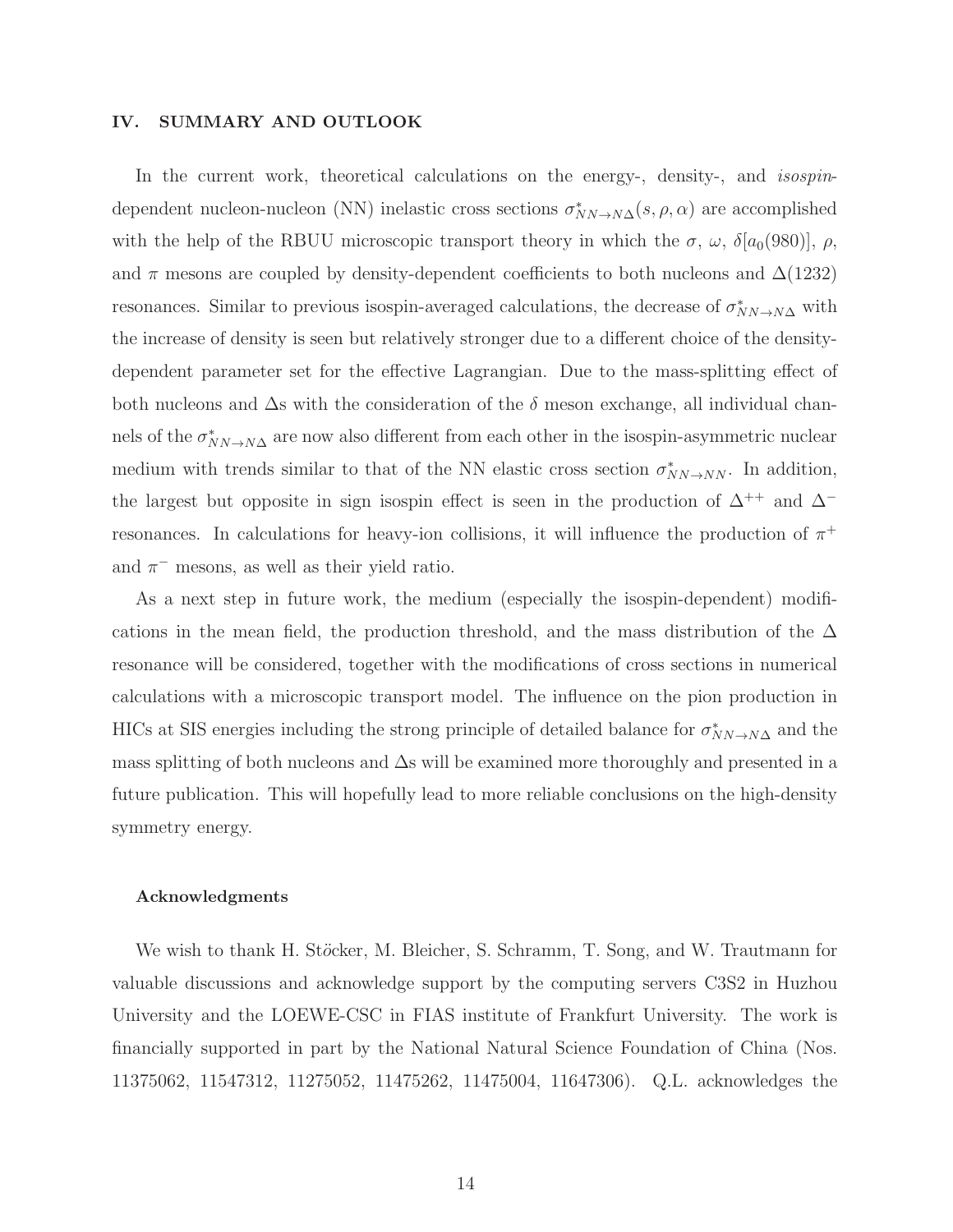## IV. SUMMARY AND OUTLOOK

In the current work, theoretical calculations on the energy-, density-, and *isospin*dependent nucleon-nucleon (NN) inelastic cross sections  $\sigma_{NN\to N\Delta}^*(s,\rho,\alpha)$  are accomplished with the help of the RBUU microscopic transport theory in which the  $\sigma$ ,  $\omega$ ,  $\delta[a_0(980)]$ ,  $\rho$ , and  $\pi$  mesons are coupled by density-dependent coefficients to both nucleons and  $\Delta(1232)$ resonances. Similar to previous isospin-averaged calculations, the decrease of  $\sigma_{NN\to N\Delta}^*$  with the increase of density is seen but relatively stronger due to a different choice of the densitydependent parameter set for the effective Lagrangian. Due to the mass-splitting effect of both nucleons and  $\Delta s$  with the consideration of the  $\delta$  meson exchange, all individual channels of the  $\sigma_{NN\to N\Delta}^{*}$  are now also different from each other in the isospin-asymmetric nuclear medium with trends similar to that of the NN elastic cross section  $\sigma_{NN\to NN}^*$ . In addition, the largest but opposite in sign isospin effect is seen in the production of  $\Delta^{++}$  and  $\Delta^{-}$ resonances. In calculations for heavy-ion collisions, it will influence the production of  $\pi^+$ and  $\pi^-$  mesons, as well as their yield ratio.

As a next step in future work, the medium (especially the isospin-dependent) modifications in the mean field, the production threshold, and the mass distribution of the  $\Delta$ resonance will be considered, together with the modifications of cross sections in numerical calculations with a microscopic transport model. The influence on the pion production in HICs at SIS energies including the strong principle of detailed balance for  $\sigma_{NN\to N\Delta}^*$  and the mass splitting of both nucleons and ∆s will be examined more thoroughly and presented in a future publication. This will hopefully lead to more reliable conclusions on the high-density symmetry energy.

#### Acknowledgments

We wish to thank H. Stöcker, M. Bleicher, S. Schramm, T. Song, and W. Trautmann for valuable discussions and acknowledge support by the computing servers C3S2 in Huzhou University and the LOEWE-CSC in FIAS institute of Frankfurt University. The work is financially supported in part by the National Natural Science Foundation of China (Nos. 11375062, 11547312, 11275052, 11475262, 11475004, 11647306). Q.L. acknowledges the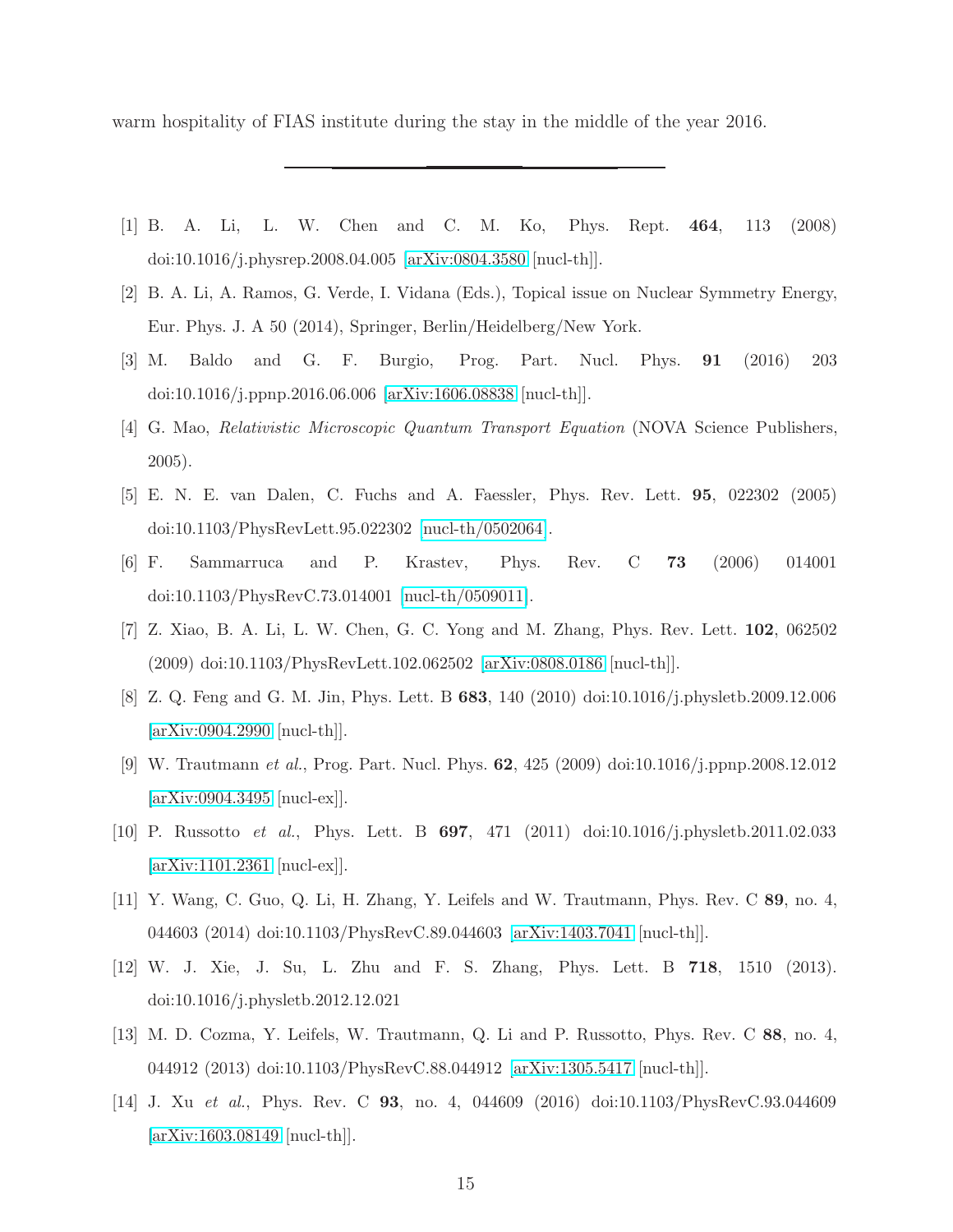warm hospitality of FIAS institute during the stay in the middle of the year 2016.

- <span id="page-14-0"></span>[1] B. A. Li, L. W. Chen and C. M. Ko, Phys. Rept. 464, 113 (2008) doi:10.1016/j.physrep.2008.04.005 [\[arXiv:0804.3580](http://arxiv.org/abs/0804.3580) [nucl-th]].
- [2] B. A. Li, A. Ramos, G. Verde, I. Vidana (Eds.), Topical issue on Nuclear Symmetry Energy, Eur. Phys. J. A 50 (2014), Springer, Berlin/Heidelberg/New York.
- <span id="page-14-1"></span>[3] M. Baldo and G. F. Burgio, Prog. Part. Nucl. Phys. 91 (2016) 203 doi:10.1016/j.ppnp.2016.06.006 [\[arXiv:1606.08838](http://arxiv.org/abs/1606.08838) [nucl-th]].
- <span id="page-14-2"></span>[4] G. Mao, Relativistic Microscopic Quantum Transport Equation (NOVA Science Publishers, 2005).
- <span id="page-14-11"></span>[5] E. N. E. van Dalen, C. Fuchs and A. Faessler, Phys. Rev. Lett. 95, 022302 (2005) doi:10.1103/PhysRevLett.95.022302 [\[nucl-th/0502064\]](http://arxiv.org/abs/nucl-th/0502064).
- <span id="page-14-3"></span>[6] F. Sammarruca and P. Krastev, Phys. Rev. C 73 (2006) 014001 doi:10.1103/PhysRevC.73.014001 [\[nucl-th/0509011\]](http://arxiv.org/abs/nucl-th/0509011).
- <span id="page-14-4"></span>[7] Z. Xiao, B. A. Li, L. W. Chen, G. C. Yong and M. Zhang, Phys. Rev. Lett. 102, 062502 (2009) doi:10.1103/PhysRevLett.102.062502 [\[arXiv:0808.0186](http://arxiv.org/abs/0808.0186) [nucl-th]].
- <span id="page-14-5"></span>[8] Z. Q. Feng and G. M. Jin, Phys. Lett. B 683, 140 (2010) doi:10.1016/j.physletb.2009.12.006 [\[arXiv:0904.2990](http://arxiv.org/abs/0904.2990) [nucl-th]].
- <span id="page-14-6"></span>[9] W. Trautmann et al., Prog. Part. Nucl. Phys. 62, 425 (2009) doi:10.1016/j.ppnp.2008.12.012 [\[arXiv:0904.3495](http://arxiv.org/abs/0904.3495) [nucl-ex]].
- [10] P. Russotto et al., Phys. Lett. B 697, 471 (2011) doi:10.1016/j.physletb.2011.02.033 [\[arXiv:1101.2361](http://arxiv.org/abs/1101.2361) [nucl-ex]].
- <span id="page-14-7"></span>[11] Y. Wang, C. Guo, Q. Li, H. Zhang, Y. Leifels and W. Trautmann, Phys. Rev. C 89, no. 4, 044603 (2014) doi:10.1103/PhysRevC.89.044603 [\[arXiv:1403.7041](http://arxiv.org/abs/1403.7041) [nucl-th]].
- <span id="page-14-8"></span>[12] W. J. Xie, J. Su, L. Zhu and F. S. Zhang, Phys. Lett. B 718, 1510 (2013). doi:10.1016/j.physletb.2012.12.021
- <span id="page-14-9"></span>[13] M. D. Cozma, Y. Leifels, W. Trautmann, Q. Li and P. Russotto, Phys. Rev. C 88, no. 4, 044912 (2013) doi:10.1103/PhysRevC.88.044912 [\[arXiv:1305.5417](http://arxiv.org/abs/1305.5417) [nucl-th]].
- <span id="page-14-10"></span>[14] J. Xu et al., Phys. Rev. C 93, no. 4, 044609 (2016) doi:10.1103/PhysRevC.93.044609 [\[arXiv:1603.08149](http://arxiv.org/abs/1603.08149) [nucl-th]].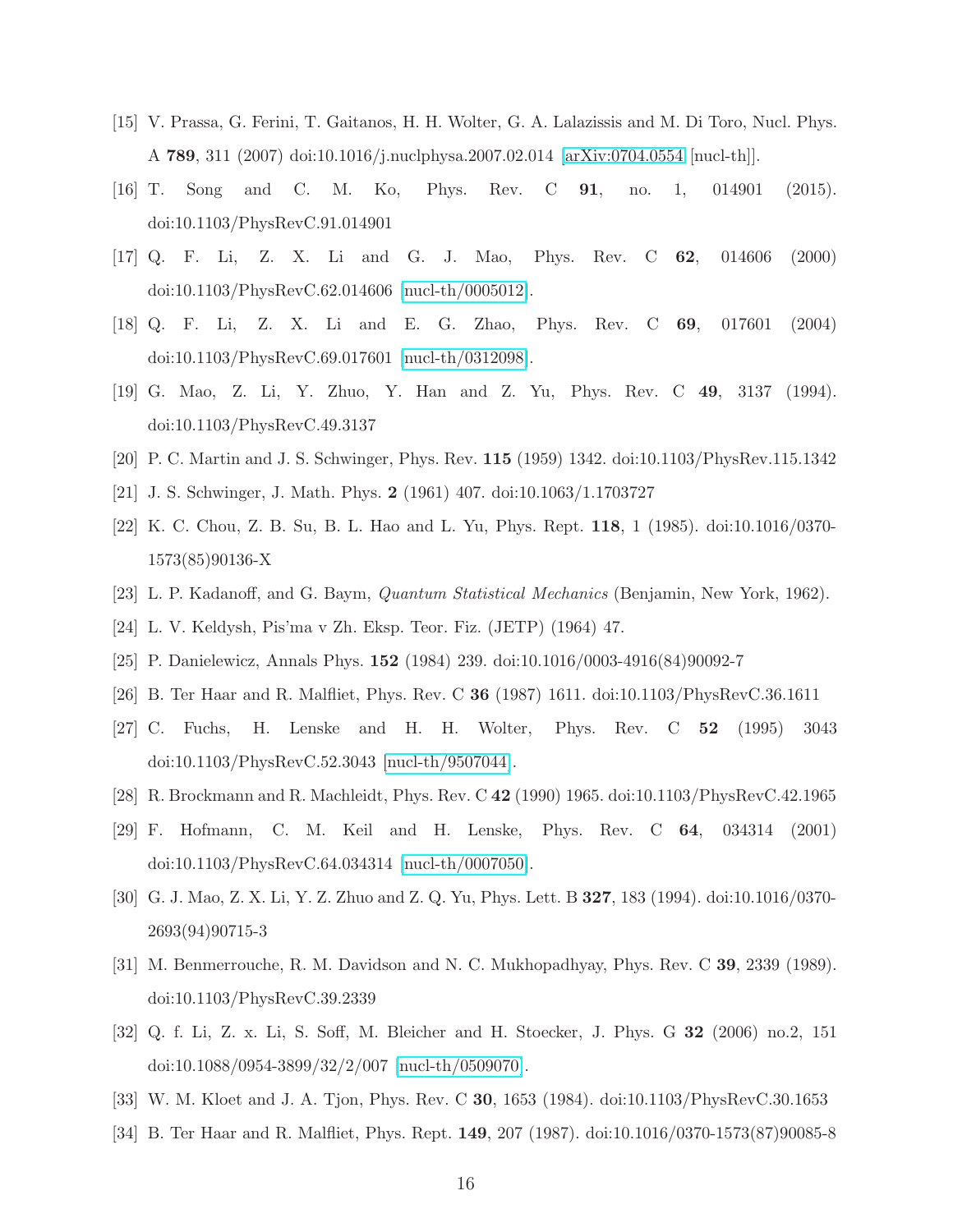- <span id="page-15-0"></span>[15] V. Prassa, G. Ferini, T. Gaitanos, H. H. Wolter, G. A. Lalazissis and M. Di Toro, Nucl. Phys. A 789, 311 (2007) doi:10.1016/j.nuclphysa.2007.02.014 [\[arXiv:0704.0554](http://arxiv.org/abs/0704.0554) [nucl-th]].
- <span id="page-15-1"></span>[16] T. Song and C. M. Ko, Phys. Rev. C 91, no. 1, 014901 (2015). doi:10.1103/PhysRevC.91.014901
- <span id="page-15-2"></span>[17] Q. F. Li, Z. X. Li and G. J. Mao, Phys. Rev. C 62, 014606 (2000) doi:10.1103/PhysRevC.62.014606 [\[nucl-th/0005012\]](http://arxiv.org/abs/nucl-th/0005012).
- <span id="page-15-3"></span>[18] Q. F. Li, Z. X. Li and E. G. Zhao, Phys. Rev. C 69, 017601 (2004) doi:10.1103/PhysRevC.69.017601 [\[nucl-th/0312098\]](http://arxiv.org/abs/nucl-th/0312098).
- <span id="page-15-4"></span>[19] G. Mao, Z. Li, Y. Zhuo, Y. Han and Z. Yu, Phys. Rev. C 49, 3137 (1994). doi:10.1103/PhysRevC.49.3137
- <span id="page-15-5"></span>[20] P. C. Martin and J. S. Schwinger, Phys. Rev. 115 (1959) 1342. doi:10.1103/PhysRev.115.1342
- <span id="page-15-6"></span>[21] J. S. Schwinger, J. Math. Phys. 2 (1961) 407. doi:10.1063/1.1703727
- [22] K. C. Chou, Z. B. Su, B. L. Hao and L. Yu, Phys. Rept. 118, 1 (1985). doi:10.1016/0370- 1573(85)90136-X
- <span id="page-15-7"></span>[23] L. P. Kadanoff, and G. Baym, Quantum Statistical Mechanics (Benjamin, New York, 1962).
- <span id="page-15-9"></span><span id="page-15-8"></span>[24] L. V. Keldysh, Pis'ma v Zh. Eksp. Teor. Fiz. (JETP) (1964) 47.
- [25] P. Danielewicz, Annals Phys. 152 (1984) 239. doi:10.1016/0003-4916(84)90092-7
- <span id="page-15-10"></span>[26] B. Ter Haar and R. Malfliet, Phys. Rev. C 36 (1987) 1611. doi:10.1103/PhysRevC.36.1611
- <span id="page-15-11"></span>[27] C. Fuchs, H. Lenske and H. H. Wolter, Phys. Rev. C 52 (1995) 3043 doi:10.1103/PhysRevC.52.3043 [\[nucl-th/9507044\]](http://arxiv.org/abs/nucl-th/9507044).
- [28] R. Brockmann and R. Machleidt, Phys. Rev. C 42 (1990) 1965. doi:10.1103/PhysRevC.42.1965
- <span id="page-15-12"></span>[29] F. Hofmann, C. M. Keil and H. Lenske, Phys. Rev. C 64, 034314 (2001) doi:10.1103/PhysRevC.64.034314 [\[nucl-th/0007050\]](http://arxiv.org/abs/nucl-th/0007050).
- <span id="page-15-13"></span>[30] G. J. Mao, Z. X. Li, Y. Z. Zhuo and Z. Q. Yu, Phys. Lett. B 327, 183 (1994). doi:10.1016/0370- 2693(94)90715-3
- <span id="page-15-14"></span>[31] M. Benmerrouche, R. M. Davidson and N. C. Mukhopadhyay, Phys. Rev. C 39, 2339 (1989). doi:10.1103/PhysRevC.39.2339
- <span id="page-15-15"></span>[32] Q. f. Li, Z. x. Li, S. Soff, M. Bleicher and H. Stoecker, J. Phys. G 32 (2006) no.2, 151 doi:10.1088/0954-3899/32/2/007 [\[nucl-th/0509070\]](http://arxiv.org/abs/nucl-th/0509070).
- <span id="page-15-16"></span>[33] W. M. Kloet and J. A. Tjon, Phys. Rev. C 30, 1653 (1984). doi:10.1103/PhysRevC.30.1653
- <span id="page-15-17"></span>[34] B. Ter Haar and R. Malfliet, Phys. Rept. 149, 207 (1987). doi:10.1016/0370-1573(87)90085-8